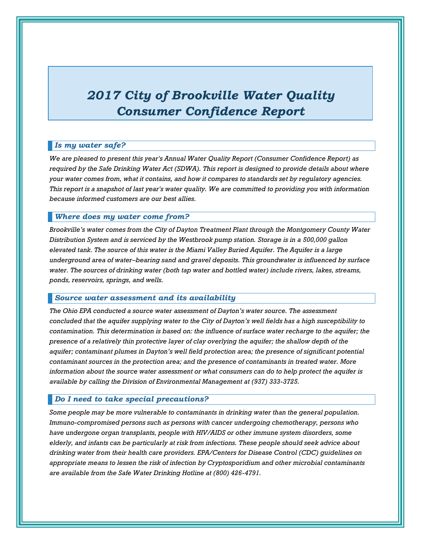# *2017 City of Brookville Water Quality Consumer Confidence Report*

# *Is my water safe?*

*We are pleased to present this year's Annual Water Quality Report (Consumer Confidence Report) as required by the Safe Drinking Water Act (SDWA). This report is designed to provide details about where your water comes from, what it contains, and how it compares to standards set by regulatory agencies. This report is a snapshot of last year's water quality. We are committed to providing you with information because informed customers are our best allies.*

#### *Where does my water come from?*

*Brookville's water comes from the City of Dayton Treatment Plant through the Montgomery County Water Distribution System and is serviced by the Westbrook pump station. Storage is in a 500,000 gallon elevated tank. The source of this water is the Miami Valley Buried Aquifer. The Aquifer is a large underground area of water–bearing sand and gravel deposits. This groundwater is influenced by surface water. The sources of drinking water (both tap water and bottled water) include rivers, lakes, streams, ponds, reservoirs, springs, and wells.* 

#### *Source water assessment and its availability*

*The Ohio EPA conducted a source water assessment of Dayton's water source. The assessment concluded that the aquifer supplying water to the City of Dayton's well fields has a high susceptibility to contamination. This determination is based on: the influence of surface water recharge to the aquifer; the presence of a relatively thin protective layer of clay overlying the aquifer; the shallow depth of the aquifer; contaminant plumes in Dayton's well field protection area; the presence of significant potential contaminant sources in the protection area; and the presence of contaminants in treated water. More information about the source water assessment or what consumers can do to help protect the aquifer is available by calling the Division of Environmental Management at (937) 333-3725.*

#### *Do I need to take special precautions?*

*Some people may be more vulnerable to contaminants in drinking water than the general population. Immuno-compromised persons such as persons with cancer undergoing chemotherapy, persons who have undergone organ transplants, people with HIV/AIDS or other immune system disorders, some elderly, and infants can be particularly at risk from infections. These people should seek advice about drinking water from their health care providers. EPA/Centers for Disease Control (CDC) guidelines on appropriate means to lessen the risk of infection by Cryptosporidium and other microbial contaminants are available from the Safe Water Drinking Hotline at (800) 426-4791.*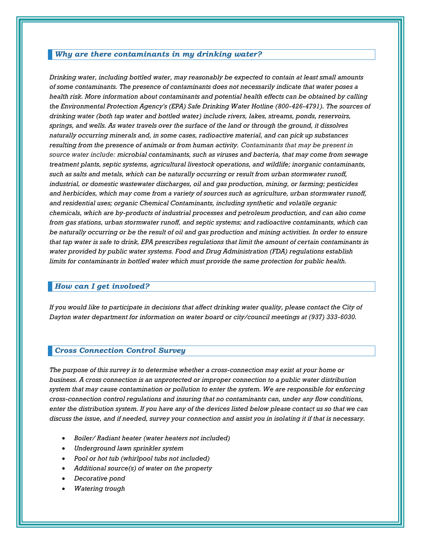## *Why are there contaminants in my drinking water?*

*Drinking water, including bottled water, may reasonably be expected to contain at least small amounts of some contaminants. The presence of contaminants does not necessarily indicate that water poses a health risk. More information about contaminants and potential health effects can be obtained by calling the Environmental Protection Agency's (EPA) Safe Drinking Water Hotline (800-426-4791). The sources of drinking water (both tap water and bottled water) include rivers, lakes, streams, ponds, reservoirs, springs, and wells. As water travels over the surface of the land or through the ground, it dissolves naturally occurring minerals and, in some cases, radioactive material, and can pick up substances resulting from the presence of animals or from human activity. Contaminants that may be present in source water include: microbial contaminants, such as viruses and bacteria, that may come from sewage treatment plants, septic systems, agricultural livestock operations, and wildlife; inorganic contaminants, such as salts and metals, which can be naturally occurring or result from urban stormwater runoff, industrial, or domestic wastewater discharges, oil and gas production, mining, or farming; pesticides and herbicides, which may come from a variety of sources such as agriculture, urban stormwater runoff, and residential uses; organic Chemical Contaminants, including synthetic and volatile organic chemicals, which are by-products of industrial processes and petroleum production, and can also come from gas stations, urban stormwater runoff, and septic systems; and radioactive contaminants, which can be naturally occurring or be the result of oil and gas production and mining activities. In order to ensure that tap water is safe to drink, EPA prescribes regulations that limit the amount of certain contaminants in water provided by public water systems. Food and Drug Administration (FDA) regulations establish limits for contaminants in bottled water which must provide the same protection for public health.*

#### *How can I get involved?*

*If you would like to participate in decisions that affect drinking water quality, please contact the City of Dayton water department for information on water board or city/council meetings at (937) 333-6030.*

## *Cross Connection Control Survey*

*The purpose of this survey is to determine whether a cross-connection may exist at your home or business. A cross connection is an unprotected or improper connection to a public water distribution system that may cause contamination or pollution to enter the system. We are responsible for enforcing cross-connection control regulations and insuring that no contaminants can, under any flow conditions, enter the distribution system. If you have any of the devices listed below please contact us so that we can discuss the issue, and if needed, survey your connection and assist you in isolating it if that is necessary.* 

- *Boiler/ Radiant heater (water heaters not included)*
- *Underground lawn sprinkler system*
- *Pool or hot tub (whirlpool tubs not included)*
- *Additional source(s) of water on the property*
- *Decorative pond*
- *Watering trough*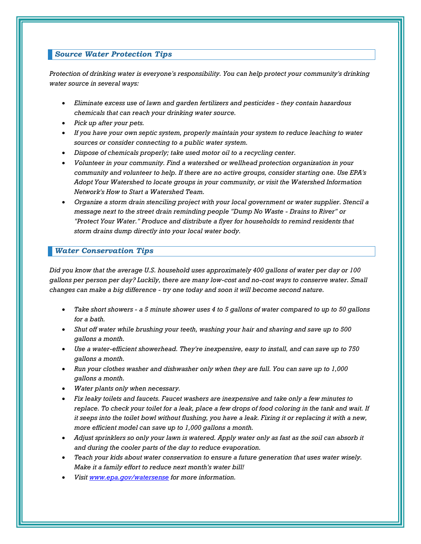# *Source Water Protection Tips*

*Protection of drinking water is everyone's responsibility. You can help protect your community's drinking water source in several ways:*

- *Eliminate excess use of lawn and garden fertilizers and pesticides - they contain hazardous chemicals that can reach your drinking water source.*
- *Pick up after your pets.*
- *If you have your own septic system, properly maintain your system to reduce leaching to water sources or consider connecting to a public water system.*
- *Dispose of chemicals properly; take used motor oil to a recycling center.*
- *Volunteer in your community. Find a watershed or wellhead protection organization in your community and volunteer to help. If there are no active groups, consider starting one. Use EPA's Adopt Your Watershed to locate groups in your community, or visit the Watershed Information Network's How to Start a Watershed Team.*
- *Organize a storm drain stenciling project with your local government or water supplier. Stencil a message next to the street drain reminding people "Dump No Waste - Drains to River" or "Protect Your Water." Produce and distribute a flyer for households to remind residents that storm drains dump directly into your local water body.*

#### *Water Conservation Tips*

*Did you know that the average U.S. household uses approximately 400 gallons of water per day or 100 gallons per person per day? Luckily, there are many low-cost and no-cost ways to conserve water. Small changes can make a big difference - try one today and soon it will become second nature.*

- *Take short showers - a 5 minute shower uses 4 to 5 gallons of water compared to up to 50 gallons for a bath.*
- *Shut off water while brushing your teeth, washing your hair and shaving and save up to 500 gallons a month.*
- *Use a water-efficient showerhead. They're inexpensive, easy to install, and can save up to 750 gallons a month.*
- *Run your clothes washer and dishwasher only when they are full. You can save up to 1,000 gallons a month.*
- *Water plants only when necessary.*
- *Fix leaky toilets and faucets. Faucet washers are inexpensive and take only a few minutes to replace. To check your toilet for a leak, place a few drops of food coloring in the tank and wait. If it seeps into the toilet bowl without flushing, you have a leak. Fixing it or replacing it with a new, more efficient model can save up to 1,000 gallons a month.*
- *Adjust sprinklers so only your lawn is watered. Apply water only as fast as the soil can absorb it and during the cooler parts of the day to reduce evaporation.*
- *Teach your kids about water conservation to ensure a future generation that uses water wisely. Make it a family effort to reduce next month's water bill!*
- *Visit [www.epa.gov/watersense](http://www.epa.gov/watersense) for more information.*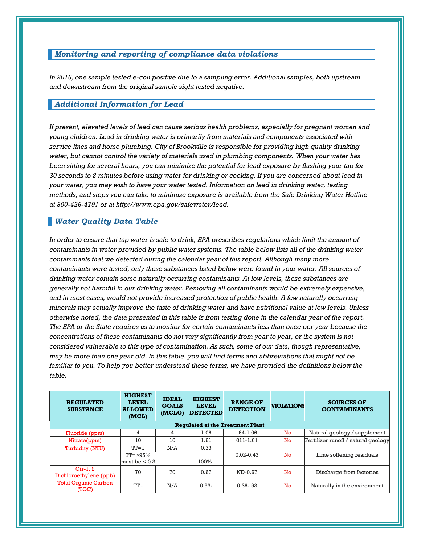# *Monitoring and reporting of compliance data violations*

*In 2016, one sample tested e-coli positive due to a sampling error. Additional samples, both upstream and downstream from the original sample sight tested negative.* 

# *Additional Information for Lead*

*If present, elevated levels of lead can cause serious health problems, especially for pregnant women and young children. Lead in drinking water is primarily from materials and components associated with service lines and home plumbing. City of Brookville is responsible for providing high quality drinking water, but cannot control the variety of materials used in plumbing components. When your water has been sitting for several hours, you can minimize the potential for lead exposure by flushing your tap for 30 seconds to 2 minutes before using water for drinking or cooking. If you are concerned about lead in your water, you may wish to have your water tested. Information on lead in drinking water, testing methods, and steps you can take to minimize exposure is available from the Safe Drinking Water Hotline at 800-426-4791 or at http://www.epa.gov/safewater/lead.* 

## *Water Quality Data Table*

*In order to ensure that tap water is safe to drink, EPA prescribes regulations which limit the amount of contaminants in water provided by public water systems. The table below lists all of the drinking water contaminants that we detected during the calendar year of this report. Although many more contaminants were tested, only those substances listed below were found in your water. All sources of drinking water contain some naturally occurring contaminants. At low levels, these substances are generally not harmful in our drinking water. Removing all contaminants would be extremely expensive, and in most cases, would not provide increased protection of public health. A few naturally occurring minerals may actually improve the taste of drinking water and have nutritional value at low levels. Unless otherwise noted, the data presented in this table is from testing done in the calendar year of the report. The EPA or the State requires us to monitor for certain contaminants less than once per year because the concentrations of these contaminants do not vary significantly from year to year, or the system is not considered vulnerable to this type of contamination. As such, some of our data, though representative, may be more than one year old. In this table, you will find terms and abbreviations that might not be familiar to you. To help you better understand these terms, we have provided the definitions below the table.*

| <b>REGULATED</b><br><b>SUBSTANCE</b>    | <b>HIGHEST</b><br><b>LEVEL</b><br><b>ALLOWED</b><br>(MCL) | <b>IDEAL</b><br><b>GOALS</b><br>(MCLG) | <b>HIGHEST</b><br><b>LEVEL</b><br><b>DETECTED</b> | <b>RANGE OF</b><br><b>DETECTION</b> | <b>VIOLATIONS</b> | <b>SOURCES OF</b><br><b>CONTAMINANTS</b> |  |  |
|-----------------------------------------|-----------------------------------------------------------|----------------------------------------|---------------------------------------------------|-------------------------------------|-------------------|------------------------------------------|--|--|
| <b>Requlated at the Treatment Plant</b> |                                                           |                                        |                                                   |                                     |                   |                                          |  |  |
| Fluoride (ppm)                          | 4                                                         | 4                                      | 1.06                                              | $.64 - 1.06$                        | No                | Natural geology / supplement             |  |  |
| Nitrate(ppm)                            | 10                                                        | 10                                     | 1.61                                              | $011 - 1.61$                        | No                | Fertilizer runoff / natural geology      |  |  |
| Turbidity (NTU)                         | $TT=1$                                                    | N/A                                    | 0.73                                              |                                     |                   | Lime softening residuals                 |  |  |
|                                         | $TT = > 95\%$<br>must be < 0.3                            |                                        | $100\%$                                           | $0.02 - 0.43$                       | No.               |                                          |  |  |
| $Cis-1.2$<br>Dichloroethylene (ppb)     | 70                                                        | 70                                     | 0.67                                              | ND-0.67                             | No.               | Discharge from factories                 |  |  |
| <b>Total Organic Carbon</b><br>(TOC)    | TT <sub>2</sub>                                           | N/A                                    | 0.93 <sub>2</sub>                                 | $0.36 - 93$                         | No.               | Naturally in the environment             |  |  |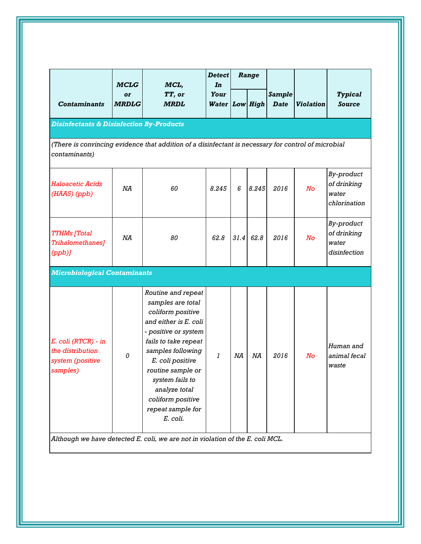|                                                                                                                      | <b>MCLG</b>        | MCL,                                                                                                                                                                                                                                                                                          | <b>Detect</b><br>In           | Range |       |                       |                  |                                                    |
|----------------------------------------------------------------------------------------------------------------------|--------------------|-----------------------------------------------------------------------------------------------------------------------------------------------------------------------------------------------------------------------------------------------------------------------------------------------|-------------------------------|-------|-------|-----------------------|------------------|----------------------------------------------------|
| <b>Contaminants</b>                                                                                                  | or<br><b>MRDLG</b> | TT, or<br><b>MRDL</b>                                                                                                                                                                                                                                                                         | Your<br><b>Water Low High</b> |       |       | Sample<br><b>Date</b> | <b>Violation</b> | <b>Typical</b><br><b>Source</b>                    |
| <b>Disinfectants &amp; Disinfection By-Products</b>                                                                  |                    |                                                                                                                                                                                                                                                                                               |                               |       |       |                       |                  |                                                    |
| (There is convincing evidence that addition of a disinfectant is necessary for control of microbial<br>contaminants) |                    |                                                                                                                                                                                                                                                                                               |                               |       |       |                       |                  |                                                    |
| <b>Haloacetic Acids</b><br>$(HAA5)$ (ppb)                                                                            | NA                 | 60                                                                                                                                                                                                                                                                                            | 8.245                         | 6     | 8.245 | 2016                  | No               | By-product<br>of drinking<br>water<br>chlorination |
| <b>TTHMs</b> [Total<br>Trihalomethanes]<br>(ppb)                                                                     | NA                 | 80                                                                                                                                                                                                                                                                                            | 62.8                          | 31.4  | 62.8  | 2016                  | No               | By-product<br>of drinking<br>water<br>disinfection |
| <b>Microbiological Contaminants</b>                                                                                  |                    |                                                                                                                                                                                                                                                                                               |                               |       |       |                       |                  |                                                    |
| E. coli (RTCR) - in<br>the distribution<br>system (positive<br>samples)                                              | 0                  | Routine and repeat<br>samples are total<br>coliform positive<br>and either is E. coli<br>- positive or system<br>fails to take repeat<br>samples following<br>E. coli positive<br>routine sample or<br>system fails to<br>analyze total<br>coliform positive<br>repeat sample for<br>E. coli. | $\boldsymbol{l}$              | ΝA    | NA    | 2016                  | No               | Human and<br>animal fecal<br>waste                 |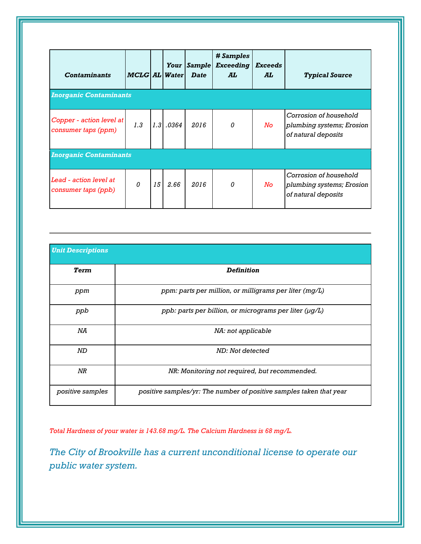| <b>Contaminants</b>                             | <b>MCLG AL Water</b> |    | Your        | <b>Sample</b><br><b>Date</b> | <b>#Samples</b><br><b>Exceeding</b><br>AL | <b>Exceeds</b><br>AL | <b>Typical Source</b>                                                      |  |
|-------------------------------------------------|----------------------|----|-------------|------------------------------|-------------------------------------------|----------------------|----------------------------------------------------------------------------|--|
| <b>Inorganic Contaminants</b>                   |                      |    |             |                              |                                           |                      |                                                                            |  |
| Copper - action level at<br>consumer taps (ppm) | 1.3                  |    | $1.3$ .0364 | 2016                         | 0                                         | No                   | Corrosion of household<br>plumbing systems; Erosion<br>of natural deposits |  |
| <b>Inorganic Contaminants</b>                   |                      |    |             |                              |                                           |                      |                                                                            |  |
| Lead - action level at<br>consumer taps (ppb)   | $\theta$             | 15 | 2.66        | 2016                         | 0                                         | No.                  | Corrosion of household<br>plumbing systems; Erosion<br>of natural deposits |  |

| <b>Unit Descriptions</b> |                                                                     |
|--------------------------|---------------------------------------------------------------------|
| Term                     | <b>Definition</b>                                                   |
| ppm                      | ppm: parts per million, or milligrams per liter (mg/L)              |
| ppb                      | ppb: parts per billion, or micrograms per liter (µg/L)              |
| ΝA                       | NA: not applicable                                                  |
| ND                       | ND: Not detected                                                    |
| NR                       | NR: Monitoring not required, but recommended.                       |
| positive samples         | positive samples/yr: The number of positive samples taken that year |

*Total Hardness of your water is 143.68 mg/L. The Calcium Hardness is 68 mg/L.* 

*The City of Brookville has a current unconditional license to operate our public water system.*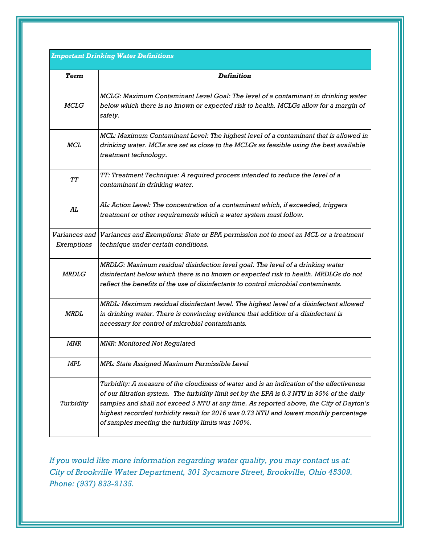# *Important Drinking Water Definitions*

| Term                        | <b>Definition</b>                                                                                                                                                                                                                                                                                                                                                                                                                 |
|-----------------------------|-----------------------------------------------------------------------------------------------------------------------------------------------------------------------------------------------------------------------------------------------------------------------------------------------------------------------------------------------------------------------------------------------------------------------------------|
| <b>MCLG</b>                 | MCLG: Maximum Contaminant Level Goal: The level of a contaminant in drinking water<br>below which there is no known or expected risk to health. MCLGs allow for a margin of<br>safety.                                                                                                                                                                                                                                            |
| MCL                         | MCL: Maximum Contaminant Level: The highest level of a contaminant that is allowed in<br>drinking water. MCLs are set as close to the MCLGs as feasible using the best available<br>treatment technology.                                                                                                                                                                                                                         |
| TТ                          | TT: Treatment Technique: A required process intended to reduce the level of a<br>contaminant in drinking water.                                                                                                                                                                                                                                                                                                                   |
| AL                          | AL: Action Level: The concentration of a contaminant which, if exceeded, triggers<br>treatment or other requirements which a water system must follow.                                                                                                                                                                                                                                                                            |
| Variances and<br>Exemptions | Variances and Exemptions: State or EPA permission not to meet an MCL or a treatment<br>technique under certain conditions.                                                                                                                                                                                                                                                                                                        |
| <b>MRDLG</b>                | MRDLG: Maximum residual disinfection level goal. The level of a drinking water<br>disinfectant below which there is no known or expected risk to health. MRDLGs do not<br>reflect the benefits of the use of disinfectants to control microbial contaminants.                                                                                                                                                                     |
| <b>MRDL</b>                 | MRDL: Maximum residual disinfectant level. The highest level of a disinfectant allowed<br>in drinking water. There is convincing evidence that addition of a disinfectant is<br>necessary for control of microbial contaminants.                                                                                                                                                                                                  |
| MNR                         | <b>MNR: Monitored Not Regulated</b>                                                                                                                                                                                                                                                                                                                                                                                               |
| MPL                         | MPL: State Assigned Maximum Permissible Level                                                                                                                                                                                                                                                                                                                                                                                     |
| Turbidity                   | Turbidity: A measure of the cloudiness of water and is an indication of the effectiveness<br>of our filtration system. The turbidity limit set by the EPA is 0.3 NTU in 95% of the daily<br>samples and shall not exceed 5 NTU at any time. As reported above, the City of Dayton's<br>highest recorded turbidity result for 2016 was 0.73 NTU and lowest monthly percentage<br>of samples meeting the turbidity limits was 100%. |

*If you would like more information regarding water quality, you may contact us at: City of Brookville Water Department, 301 Sycamore Street, Brookville, Ohio 45309. Phone: (937) 833-2135.*